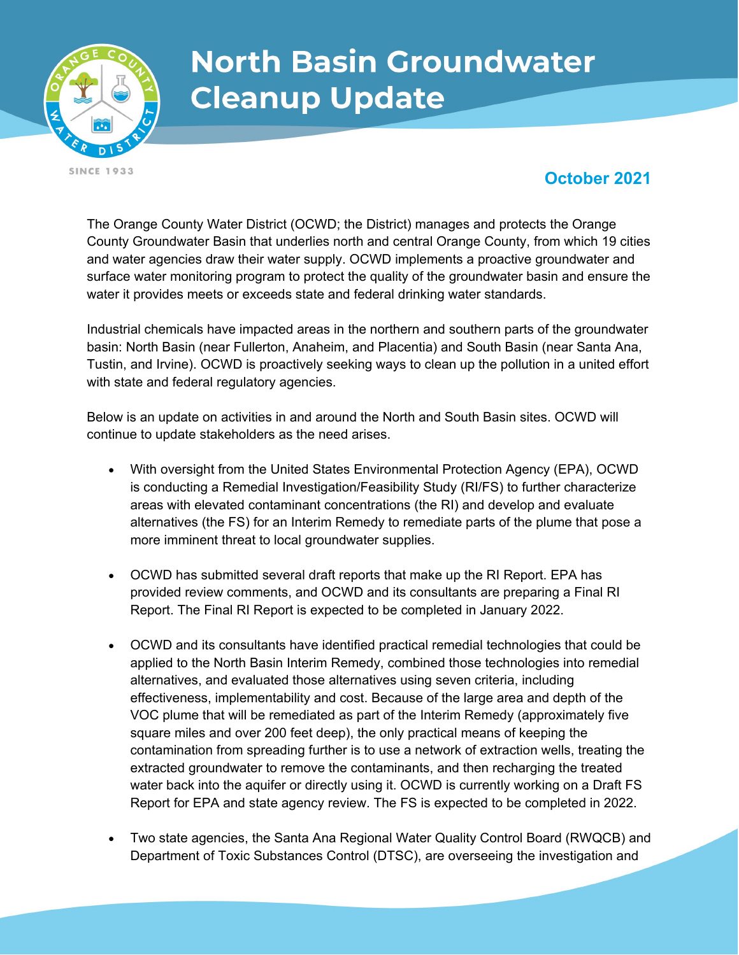

## **North Basin Groundwater Cleanup Update**

**SINCE 1933** 

## **October 2021**

The Orange County Water District (OCWD; the District) manages and protects the Orange County Groundwater Basin that underlies north and central Orange County, from which 19 cities and water agencies draw their water supply. OCWD implements a proactive groundwater and surface water monitoring program to protect the quality of the groundwater basin and ensure the water it provides meets or exceeds state and federal drinking water standards.

Industrial chemicals have impacted areas in the northern and southern parts of the groundwater basin: North Basin (near Fullerton, Anaheim, and Placentia) and South Basin (near Santa Ana, Tustin, and Irvine). OCWD is proactively seeking ways to clean up the pollution in a united effort with state and federal regulatory agencies.

Below is an update on activities in and around the North and South Basin sites. OCWD will continue to update stakeholders as the need arises.

- With oversight from the United States Environmental Protection Agency (EPA), OCWD is conducting a Remedial Investigation/Feasibility Study (RI/FS) to further characterize areas with elevated contaminant concentrations (the RI) and develop and evaluate alternatives (the FS) for an Interim Remedy to remediate parts of the plume that pose a more imminent threat to local groundwater supplies.
- OCWD has submitted several draft reports that make up the RI Report. EPA has provided review comments, and OCWD and its consultants are preparing a Final RI Report. The Final RI Report is expected to be completed in January 2022.
- OCWD and its consultants have identified practical remedial technologies that could be applied to the North Basin Interim Remedy, combined those technologies into remedial alternatives, and evaluated those alternatives using seven criteria, including effectiveness, implementability and cost. Because of the large area and depth of the VOC plume that will be remediated as part of the Interim Remedy (approximately five square miles and over 200 feet deep), the only practical means of keeping the contamination from spreading further is to use a network of extraction wells, treating the extracted groundwater to remove the contaminants, and then recharging the treated water back into the aquifer or directly using it. OCWD is currently working on a Draft FS Report for EPA and state agency review. The FS is expected to be completed in 2022.
- Two state agencies, the Santa Ana Regional Water Quality Control Board (RWQCB) and Department of Toxic Substances Control (DTSC), are overseeing the investigation and